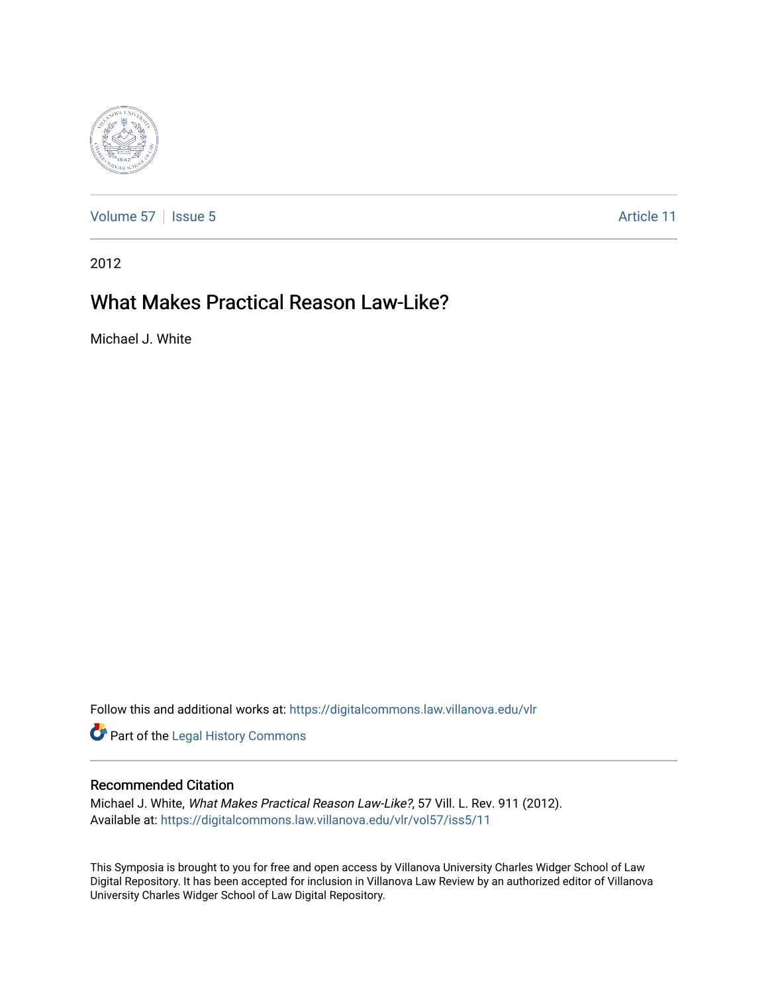

[Volume 57](https://digitalcommons.law.villanova.edu/vlr/vol57) | [Issue 5](https://digitalcommons.law.villanova.edu/vlr/vol57/iss5) Article 11

2012

# What Makes Practical Reason Law-Like?

Michael J. White

Follow this and additional works at: [https://digitalcommons.law.villanova.edu/vlr](https://digitalcommons.law.villanova.edu/vlr?utm_source=digitalcommons.law.villanova.edu%2Fvlr%2Fvol57%2Fiss5%2F11&utm_medium=PDF&utm_campaign=PDFCoverPages)

Part of the [Legal History Commons](http://network.bepress.com/hgg/discipline/904?utm_source=digitalcommons.law.villanova.edu%2Fvlr%2Fvol57%2Fiss5%2F11&utm_medium=PDF&utm_campaign=PDFCoverPages)

# Recommended Citation

Michael J. White, What Makes Practical Reason Law-Like?, 57 Vill. L. Rev. 911 (2012). Available at: [https://digitalcommons.law.villanova.edu/vlr/vol57/iss5/11](https://digitalcommons.law.villanova.edu/vlr/vol57/iss5/11?utm_source=digitalcommons.law.villanova.edu%2Fvlr%2Fvol57%2Fiss5%2F11&utm_medium=PDF&utm_campaign=PDFCoverPages) 

This Symposia is brought to you for free and open access by Villanova University Charles Widger School of Law Digital Repository. It has been accepted for inclusion in Villanova Law Review by an authorized editor of Villanova University Charles Widger School of Law Digital Repository.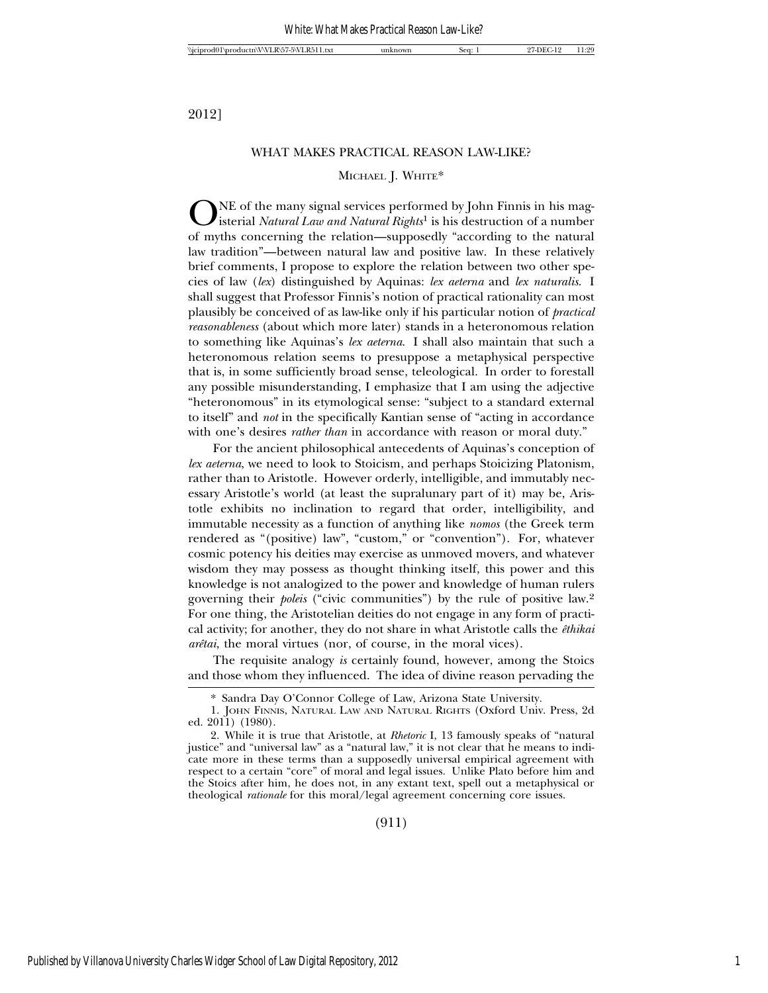2012]

#### WHAT MAKES PRACTICAL REASON LAW-LIKE?

#### MICHAEL J. WHITE\*

NE of the many signal services performed by John Finnis in his magisterial *Natural Law and Natural Rights*1 is his destruction of a number of myths concerning the relation—supposedly "according to the natural law tradition"—between natural law and positive law. In these relatively brief comments, I propose to explore the relation between two other species of law (*lex*) distinguished by Aquinas: *lex aeterna* and *lex naturalis*. I shall suggest that Professor Finnis's notion of practical rationality can most plausibly be conceived of as law-like only if his particular notion of *practical reasonableness* (about which more later) stands in a heteronomous relation to something like Aquinas's *lex aeterna*. I shall also maintain that such a heteronomous relation seems to presuppose a metaphysical perspective that is, in some sufficiently broad sense, teleological. In order to forestall any possible misunderstanding, I emphasize that I am using the adjective "heteronomous" in its etymological sense: "subject to a standard external to itself" and *not* in the specifically Kantian sense of "acting in accordance with one's desires *rather than* in accordance with reason or moral duty."

For the ancient philosophical antecedents of Aquinas's conception of *lex aeterna*, we need to look to Stoicism, and perhaps Stoicizing Platonism, rather than to Aristotle. However orderly, intelligible, and immutably necessary Aristotle's world (at least the supralunary part of it) may be, Aristotle exhibits no inclination to regard that order, intelligibility, and immutable necessity as a function of anything like *nomos* (the Greek term rendered as "(positive) law", "custom," or "convention"). For, whatever cosmic potency his deities may exercise as unmoved movers, and whatever wisdom they may possess as thought thinking itself, this power and this knowledge is not analogized to the power and knowledge of human rulers governing their *poleis* ("civic communities") by the rule of positive law.2 For one thing, the Aristotelian deities do not engage in any form of practical activity; for another, they do not share in what Aristotle calls the *ˆethikai arêtai*, the moral virtues (nor, of course, in the moral vices).

The requisite analogy *is* certainly found, however, among the Stoics and those whom they influenced. The idea of divine reason pervading the

(911)

<sup>\*</sup> Sandra Day O'Connor College of Law, Arizona State University.

<sup>1.</sup> JOHN FINNIS, NATURAL LAW AND NATURAL RIGHTS (Oxford Univ. Press, 2d ed. 2011) (1980).

<sup>2.</sup> While it is true that Aristotle, at *Rhetoric* I, 13 famously speaks of "natural justice" and "universal law" as a "natural law," it is not clear that he means to indicate more in these terms than a supposedly universal empirical agreement with respect to a certain "core" of moral and legal issues. Unlike Plato before him and the Stoics after him, he does not, in any extant text, spell out a metaphysical or theological *rationale* for this moral/legal agreement concerning core issues.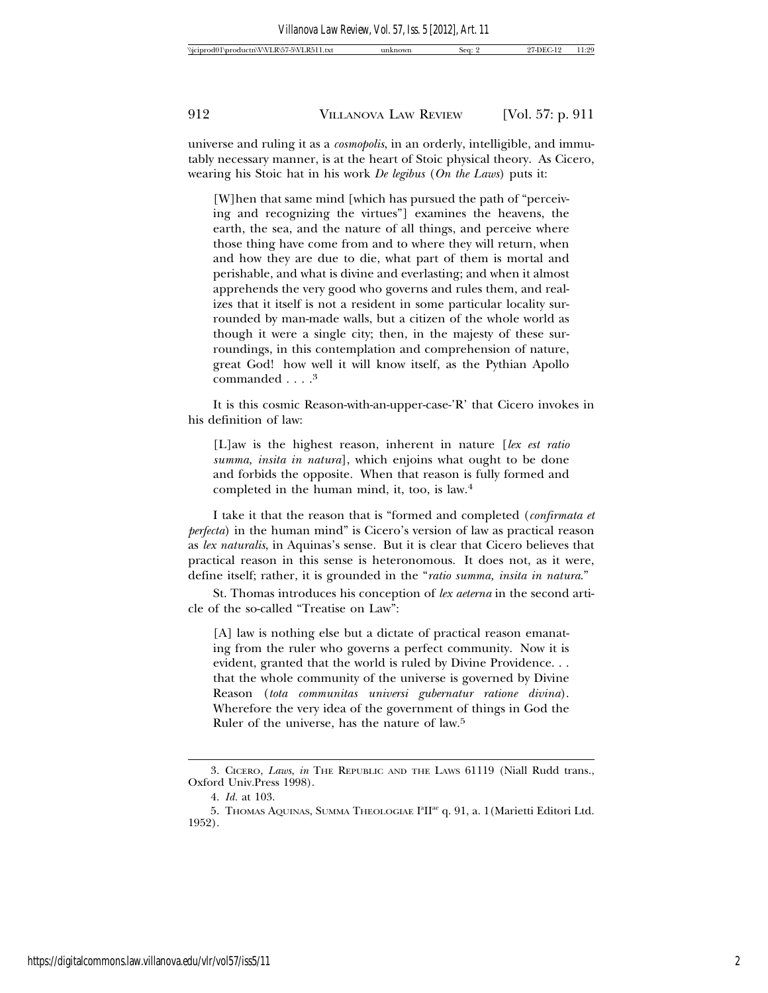universe and ruling it as a *cosmopolis*, in an orderly, intelligible, and immutably necessary manner, is at the heart of Stoic physical theory. As Cicero, wearing his Stoic hat in his work *De legibus* (*On the Laws*) puts it:

[W]hen that same mind [which has pursued the path of "perceiving and recognizing the virtues"] examines the heavens, the earth, the sea, and the nature of all things, and perceive where those thing have come from and to where they will return, when and how they are due to die, what part of them is mortal and perishable, and what is divine and everlasting; and when it almost apprehends the very good who governs and rules them, and realizes that it itself is not a resident in some particular locality surrounded by man-made walls, but a citizen of the whole world as though it were a single city; then, in the majesty of these surroundings, in this contemplation and comprehension of nature, great God! how well it will know itself, as the Pythian Apollo commanded . . . .<sup>3</sup>

It is this cosmic Reason-with-an-upper-case-'R' that Cicero invokes in his definition of law:

[L]aw is the highest reason, inherent in nature [*lex est ratio summa, insita in natura*], which enjoins what ought to be done and forbids the opposite. When that reason is fully formed and completed in the human mind, it, too, is law.4

I take it that the reason that is "formed and completed (*confirmata et perfecta*) in the human mind" is Cicero's version of law as practical reason as *lex naturalis*, in Aquinas's sense. But it is clear that Cicero believes that practical reason in this sense is heteronomous. It does not, as it were, define itself; rather, it is grounded in the "*ratio summa, insita in natura*."

St. Thomas introduces his conception of *lex aeterna* in the second article of the so-called "Treatise on Law":

[A] law is nothing else but a dictate of practical reason emanating from the ruler who governs a perfect community. Now it is evident, granted that the world is ruled by Divine Providence. . . that the whole community of the universe is governed by Divine Reason (*tota communitas universi gubernatur ratione divina*). Wherefore the very idea of the government of things in God the Ruler of the universe, has the nature of law.5

<sup>3.</sup> CICERO, *Laws*, *in* THE REPUBLIC AND THE LAWS 61119 (Niall Rudd trans., Oxford Univ.Press 1998).

<sup>4.</sup> *Id.* at 103.

<sup>5.</sup> THOMAS AQUINAS, SUMMA THEOLOGIAE I<sup>a</sup>II<sup>ae</sup> q. 91, a. 1 (Marietti Editori Ltd. 1952).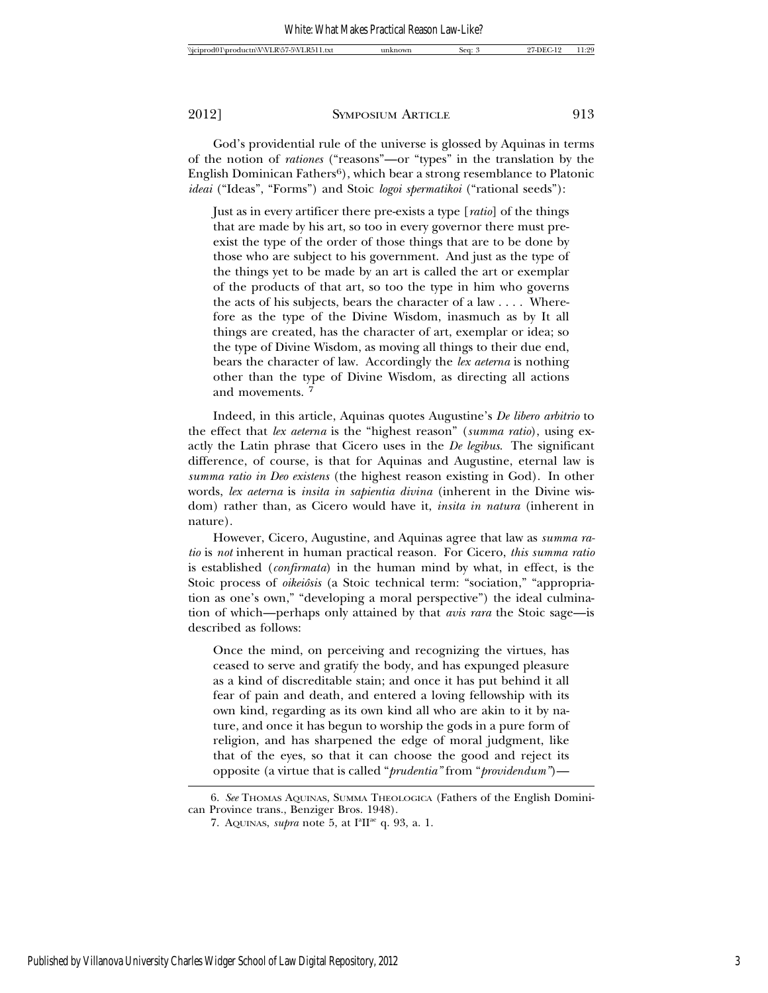God's providential rule of the universe is glossed by Aquinas in terms of the notion of *rationes* ("reasons"—or "types" in the translation by the English Dominican Fathers<sup>6</sup>), which bear a strong resemblance to Platonic *ideai* ("Ideas", "Forms") and Stoic *logoi spermatikoi* ("rational seeds"):

Just as in every artificer there pre-exists a type [*ratio*] of the things that are made by his art, so too in every governor there must preexist the type of the order of those things that are to be done by those who are subject to his government. And just as the type of the things yet to be made by an art is called the art or exemplar of the products of that art, so too the type in him who governs the acts of his subjects, bears the character of a law . . . . Wherefore as the type of the Divine Wisdom, inasmuch as by It all things are created, has the character of art, exemplar or idea; so the type of Divine Wisdom, as moving all things to their due end, bears the character of law. Accordingly the *lex aeterna* is nothing other than the type of Divine Wisdom, as directing all actions and movements. <sup>7</sup>

Indeed, in this article, Aquinas quotes Augustine's *De libero arbitrio* to the effect that *lex aeterna* is the "highest reason" (*summa ratio*), using exactly the Latin phrase that Cicero uses in the *De legibus*. The significant difference, of course, is that for Aquinas and Augustine, eternal law is *summa ratio in Deo existens* (the highest reason existing in God). In other words, *lex aeterna* is *insita in sapientia divina* (inherent in the Divine wisdom) rather than, as Cicero would have it, *insita in natura* (inherent in nature).

However, Cicero, Augustine, and Aquinas agree that law as *summa ratio* is *not* inherent in human practical reason. For Cicero, *this summa ratio* is established (*confirmata*) in the human mind by what, in effect, is the Stoic process of *oikeiôsis* (a Stoic technical term: "sociation," "appropriation as one's own," "developing a moral perspective") the ideal culmination of which—perhaps only attained by that *avis rara* the Stoic sage—is described as follows:

Once the mind, on perceiving and recognizing the virtues, has ceased to serve and gratify the body, and has expunged pleasure as a kind of discreditable stain; and once it has put behind it all fear of pain and death, and entered a loving fellowship with its own kind, regarding as its own kind all who are akin to it by nature, and once it has begun to worship the gods in a pure form of religion, and has sharpened the edge of moral judgment, like that of the eyes, so that it can choose the good and reject its opposite (a virtue that is called "*prudentia"* from "*providendum"*)—

6. *See* THOMAS AQUINAS, SUMMA THEOLOGICA (Fathers of the English Dominican Province trans., Benziger Bros. 1948).

<sup>7.</sup> AQUINAS, *supra* note 5, at I<sup>a</sup>II<sup>ae</sup> q. 93, a. 1.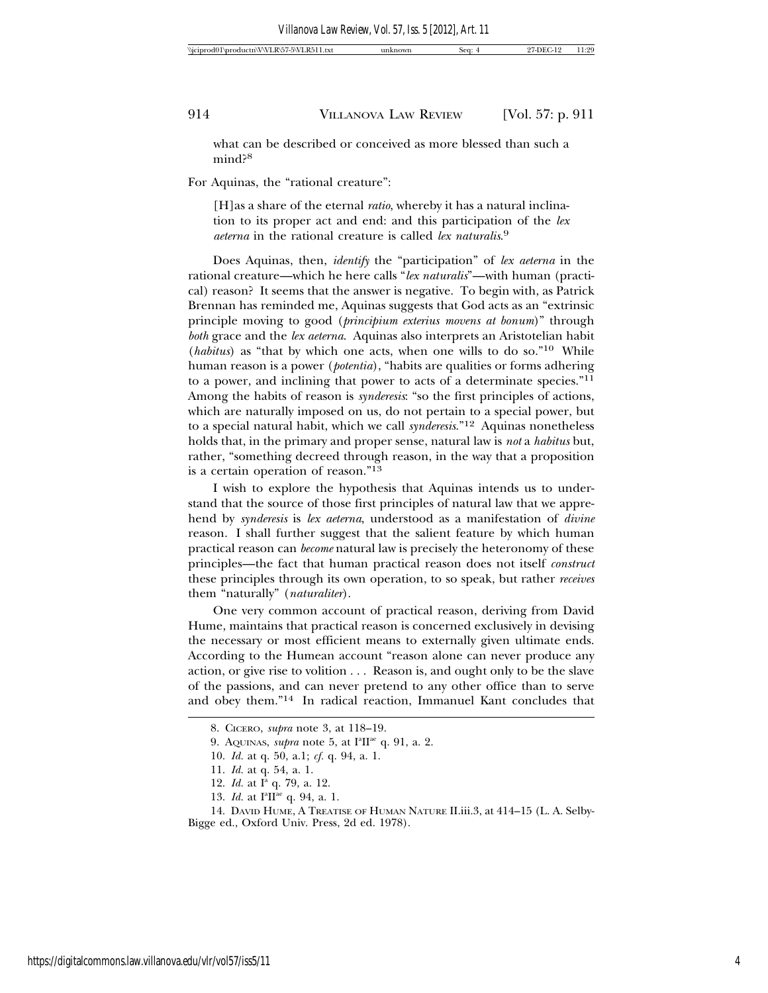what can be described or conceived as more blessed than such a mind?<sup>8</sup>

For Aquinas, the "rational creature":

[H]as a share of the eternal *ratio*, whereby it has a natural inclination to its proper act and end: and this participation of the *lex aeterna* in the rational creature is called *lex naturalis*. 9

Does Aquinas, then, *identify* the "participation" of *lex aeterna* in the rational creature—which he here calls "*lex naturalis*"—with human (practical) reason? It seems that the answer is negative. To begin with, as Patrick Brennan has reminded me, Aquinas suggests that God acts as an "extrinsic principle moving to good (*principium exterius movens at bonum*)" through *both* grace and the *lex aeterna*. Aquinas also interprets an Aristotelian habit (*habitus*) as "that by which one acts, when one wills to do so."10 While human reason is a power (*potentia*), "habits are qualities or forms adhering to a power, and inclining that power to acts of a determinate species."11 Among the habits of reason is *synderesis*: "so the first principles of actions, which are naturally imposed on us, do not pertain to a special power, but to a special natural habit, which we call *synderesis*."12 Aquinas nonetheless holds that, in the primary and proper sense, natural law is *not* a *habitus* but, rather, "something decreed through reason, in the way that a proposition is a certain operation of reason."13

I wish to explore the hypothesis that Aquinas intends us to understand that the source of those first principles of natural law that we apprehend by *synderesis* is *lex aeterna*, understood as a manifestation of *divine* reason. I shall further suggest that the salient feature by which human practical reason can *become* natural law is precisely the heteronomy of these principles—the fact that human practical reason does not itself *construct* these principles through its own operation, to so speak, but rather *receives* them "naturally" (*naturaliter*).

One very common account of practical reason, deriving from David Hume, maintains that practical reason is concerned exclusively in devising the necessary or most efficient means to externally given ultimate ends. According to the Humean account "reason alone can never produce any action, or give rise to volition . . . Reason is, and ought only to be the slave of the passions, and can never pretend to any other office than to serve and obey them."14 In radical reaction, Immanuel Kant concludes that

<sup>8.</sup> CICERO, *supra* note 3, at 118–19.

<sup>9.</sup> AQUINAS, *supra* note 5, at I<sup>a</sup>II<sup>ae</sup> q. 91, a. 2.

<sup>10.</sup> *Id.* at q. 50, a.1; *cf.* q. 94, a. 1.

<sup>11.</sup> *Id.* at q. 54, a. 1.

<sup>12.</sup> *Id.* at I<sup>a</sup> q. 79, a. 12.

<sup>13.</sup> *Id.* at I<sup>a</sup>II<sup>ae</sup> q. 94, a. 1.

<sup>14.</sup> DAVID HUME, A TREATISE OF HUMAN NATURE II.iii.3, at 414–15 (L. A. Selby-Bigge ed., Oxford Univ. Press, 2d ed. 1978).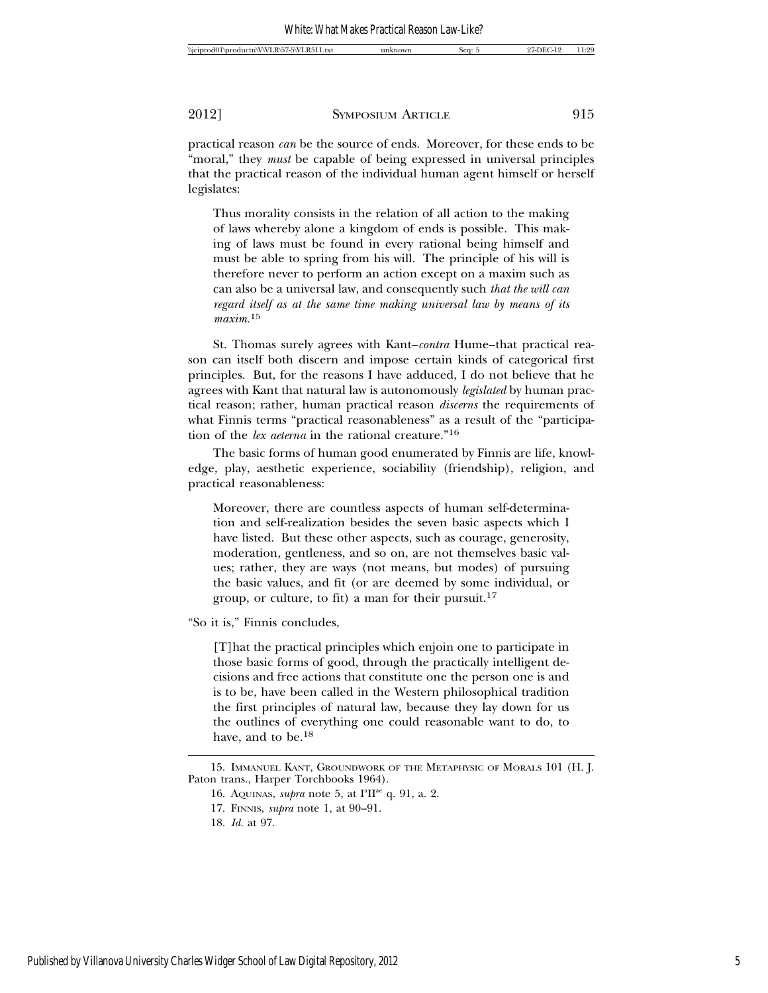practical reason *can* be the source of ends. Moreover, for these ends to be "moral," they *must* be capable of being expressed in universal principles that the practical reason of the individual human agent himself or herself legislates:

Thus morality consists in the relation of all action to the making of laws whereby alone a kingdom of ends is possible. This making of laws must be found in every rational being himself and must be able to spring from his will. The principle of his will is therefore never to perform an action except on a maxim such as can also be a universal law, and consequently such *that the will can regard itself as at the same time making universal law by means of its maxim.*<sup>15</sup>

St. Thomas surely agrees with Kant–*contra* Hume–that practical reason can itself both discern and impose certain kinds of categorical first principles. But, for the reasons I have adduced, I do not believe that he agrees with Kant that natural law is autonomously *legislated* by human practical reason; rather, human practical reason *discerns* the requirements of what Finnis terms "practical reasonableness" as a result of the "participation of the *lex aeterna* in the rational creature."16

The basic forms of human good enumerated by Finnis are life, knowledge, play, aesthetic experience, sociability (friendship), religion, and practical reasonableness:

Moreover, there are countless aspects of human self-determination and self-realization besides the seven basic aspects which I have listed. But these other aspects, such as courage, generosity, moderation, gentleness, and so on, are not themselves basic values; rather, they are ways (not means, but modes) of pursuing the basic values, and fit (or are deemed by some individual, or group, or culture, to fit) a man for their pursuit.17

"So it is," Finnis concludes,

[T]hat the practical principles which enjoin one to participate in those basic forms of good, through the practically intelligent decisions and free actions that constitute one the person one is and is to be, have been called in the Western philosophical tradition the first principles of natural law, because they lay down for us the outlines of everything one could reasonable want to do, to have, and to be.18

<sup>15.</sup> IMMANUEL KANT, GROUNDWORK OF THE METAPHYSIC OF MORALS 101 (H. J. Paton trans., Harper Torchbooks 1964).

<sup>16.</sup> AQUINAS, *supra* note 5, at I<sup>a</sup>II<sup>ae</sup> q. 91, a. 2.

<sup>17.</sup> FINNIS, *supra* note 1, at 90–91.

<sup>18.</sup> *Id.* at 97.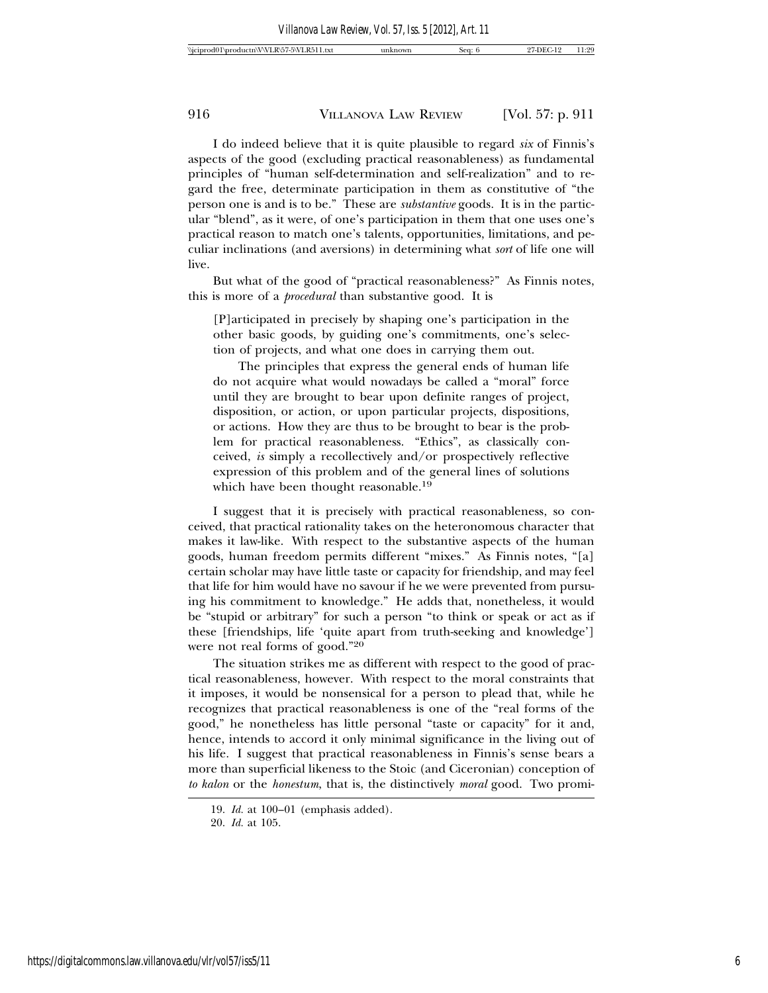I do indeed believe that it is quite plausible to regard *six* of Finnis's aspects of the good (excluding practical reasonableness) as fundamental principles of "human self-determination and self-realization" and to regard the free, determinate participation in them as constitutive of "the person one is and is to be." These are *substantive* goods. It is in the particular "blend", as it were, of one's participation in them that one uses one's practical reason to match one's talents, opportunities, limitations, and peculiar inclinations (and aversions) in determining what *sort* of life one will live.

But what of the good of "practical reasonableness?" As Finnis notes, this is more of a *procedural* than substantive good. It is

[P]articipated in precisely by shaping one's participation in the other basic goods, by guiding one's commitments, one's selection of projects, and what one does in carrying them out.

The principles that express the general ends of human life do not acquire what would nowadays be called a "moral" force until they are brought to bear upon definite ranges of project, disposition, or action, or upon particular projects, dispositions, or actions. How they are thus to be brought to bear is the problem for practical reasonableness. "Ethics", as classically conceived, *is* simply a recollectively and/or prospectively reflective expression of this problem and of the general lines of solutions which have been thought reasonable.<sup>19</sup>

I suggest that it is precisely with practical reasonableness, so conceived, that practical rationality takes on the heteronomous character that makes it law-like. With respect to the substantive aspects of the human goods, human freedom permits different "mixes." As Finnis notes, "[a] certain scholar may have little taste or capacity for friendship, and may feel that life for him would have no savour if he we were prevented from pursuing his commitment to knowledge." He adds that, nonetheless, it would be "stupid or arbitrary" for such a person "to think or speak or act as if these [friendships, life 'quite apart from truth-seeking and knowledge'] were not real forms of good."20

The situation strikes me as different with respect to the good of practical reasonableness, however. With respect to the moral constraints that it imposes, it would be nonsensical for a person to plead that, while he recognizes that practical reasonableness is one of the "real forms of the good," he nonetheless has little personal "taste or capacity" for it and, hence, intends to accord it only minimal significance in the living out of his life. I suggest that practical reasonableness in Finnis's sense bears a more than superficial likeness to the Stoic (and Ciceronian) conception of *to kalon* or the *honestum*, that is, the distinctively *moral* good. Two promi-

<sup>19.</sup> *Id.* at 100–01 (emphasis added).

<sup>20.</sup> *Id.* at 105.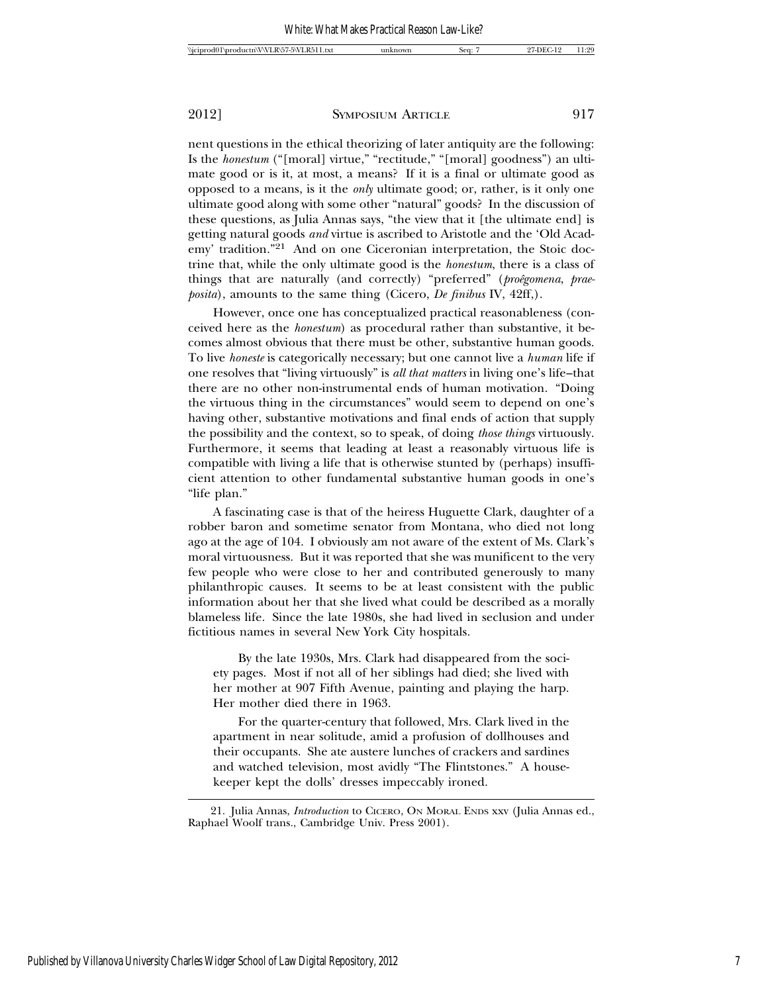nent questions in the ethical theorizing of later antiquity are the following: Is the *honestum* ("[moral] virtue," "rectitude," "[moral] goodness") an ultimate good or is it, at most, a means? If it is a final or ultimate good as opposed to a means, is it the *only* ultimate good; or, rather, is it only one ultimate good along with some other "natural" goods? In the discussion of these questions, as Julia Annas says, "the view that it [the ultimate end] is getting natural goods *and* virtue is ascribed to Aristotle and the 'Old Academy' tradition."21 And on one Ciceronian interpretation, the Stoic doctrine that, while the only ultimate good is the *honestum*, there is a class of things that are naturally (and correctly) "preferred" (*proêgomena*, *praeposita*), amounts to the same thing (Cicero, *De finibus* IV, 42ff,).

However, once one has conceptualized practical reasonableness (conceived here as the *honestum*) as procedural rather than substantive, it becomes almost obvious that there must be other, substantive human goods. To live *honeste* is categorically necessary; but one cannot live a *human* life if one resolves that "living virtuously" is *all that matters* in living one's life–that there are no other non-instrumental ends of human motivation. "Doing the virtuous thing in the circumstances" would seem to depend on one's having other, substantive motivations and final ends of action that supply the possibility and the context, so to speak, of doing *those things* virtuously. Furthermore, it seems that leading at least a reasonably virtuous life is compatible with living a life that is otherwise stunted by (perhaps) insufficient attention to other fundamental substantive human goods in one's "life plan."

A fascinating case is that of the heiress Huguette Clark, daughter of a robber baron and sometime senator from Montana, who died not long ago at the age of 104. I obviously am not aware of the extent of Ms. Clark's moral virtuousness. But it was reported that she was munificent to the very few people who were close to her and contributed generously to many philanthropic causes. It seems to be at least consistent with the public information about her that she lived what could be described as a morally blameless life. Since the late 1980s, she had lived in seclusion and under fictitious names in several New York City hospitals.

By the late 1930s, Mrs. Clark had disappeared from the society pages. Most if not all of her siblings had died; she lived with her mother at 907 Fifth Avenue, painting and playing the harp. Her mother died there in 1963.

For the quarter-century that followed, Mrs. Clark lived in the apartment in near solitude, amid a profusion of dollhouses and their occupants. She ate austere lunches of crackers and sardines and watched television, most avidly "The Flintstones." A housekeeper kept the dolls' dresses impeccably ironed.

<sup>21.</sup> Julia Annas, *Introduction* to CICERO, ON MORAL ENDS xxv (Julia Annas ed., Raphael Woolf trans., Cambridge Univ. Press 2001).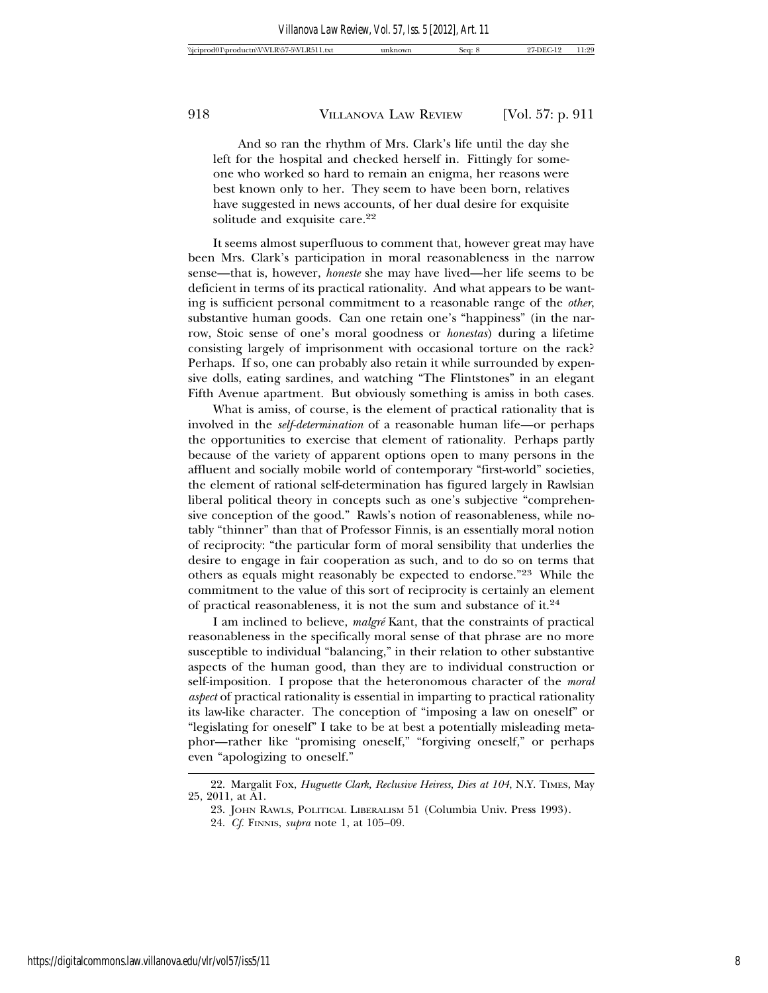And so ran the rhythm of Mrs. Clark's life until the day she left for the hospital and checked herself in. Fittingly for someone who worked so hard to remain an enigma, her reasons were best known only to her. They seem to have been born, relatives have suggested in news accounts, of her dual desire for exquisite solitude and exquisite care.<sup>22</sup>

It seems almost superfluous to comment that, however great may have been Mrs. Clark's participation in moral reasonableness in the narrow sense—that is, however, *honeste* she may have lived—her life seems to be deficient in terms of its practical rationality. And what appears to be wanting is sufficient personal commitment to a reasonable range of the *other*, substantive human goods. Can one retain one's "happiness" (in the narrow, Stoic sense of one's moral goodness or *honestas*) during a lifetime consisting largely of imprisonment with occasional torture on the rack? Perhaps. If so, one can probably also retain it while surrounded by expensive dolls, eating sardines, and watching "The Flintstones" in an elegant Fifth Avenue apartment. But obviously something is amiss in both cases.

What is amiss, of course, is the element of practical rationality that is involved in the *self-determination* of a reasonable human life—or perhaps the opportunities to exercise that element of rationality. Perhaps partly because of the variety of apparent options open to many persons in the affluent and socially mobile world of contemporary "first-world" societies, the element of rational self-determination has figured largely in Rawlsian liberal political theory in concepts such as one's subjective "comprehensive conception of the good." Rawls's notion of reasonableness, while notably "thinner" than that of Professor Finnis, is an essentially moral notion of reciprocity: "the particular form of moral sensibility that underlies the desire to engage in fair cooperation as such, and to do so on terms that others as equals might reasonably be expected to endorse."23 While the commitment to the value of this sort of reciprocity is certainly an element of practical reasonableness, it is not the sum and substance of it.24

I am inclined to believe, *malgre´* Kant, that the constraints of practical reasonableness in the specifically moral sense of that phrase are no more susceptible to individual "balancing," in their relation to other substantive aspects of the human good, than they are to individual construction or self-imposition. I propose that the heteronomous character of the *moral aspect* of practical rationality is essential in imparting to practical rationality its law-like character. The conception of "imposing a law on oneself" or "legislating for oneself" I take to be at best a potentially misleading metaphor—rather like "promising oneself," "forgiving oneself," or perhaps even "apologizing to oneself."

<sup>22.</sup> Margalit Fox, *Huguette Clark, Reclusive Heiress, Dies at 104*, N.Y. TIMES, May 25, 2011, at A1.

<sup>23.</sup> JOHN RAWLS, POLITICAL LIBERALISM 51 (Columbia Univ. Press 1993).

<sup>24.</sup> *Cf.* FINNIS, *supra* note 1, at 105–09.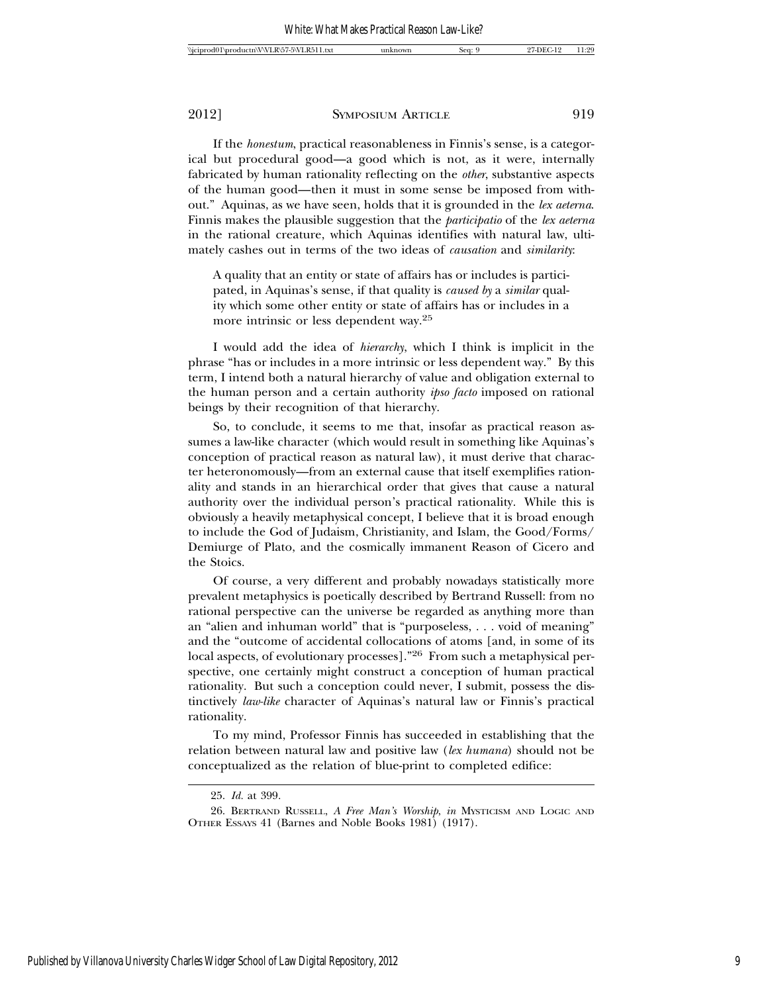If the *honestum*, practical reasonableness in Finnis's sense, is a categorical but procedural good—a good which is not, as it were, internally fabricated by human rationality reflecting on the *other*, substantive aspects of the human good—then it must in some sense be imposed from without." Aquinas, as we have seen, holds that it is grounded in the *lex aeterna*. Finnis makes the plausible suggestion that the *participatio* of the *lex aeterna* in the rational creature, which Aquinas identifies with natural law, ultimately cashes out in terms of the two ideas of *causation* and *similarity*:

A quality that an entity or state of affairs has or includes is participated, in Aquinas's sense, if that quality is *caused by* a *similar* quality which some other entity or state of affairs has or includes in a more intrinsic or less dependent way.25

I would add the idea of *hierarchy*, which I think is implicit in the phrase "has or includes in a more intrinsic or less dependent way." By this term, I intend both a natural hierarchy of value and obligation external to the human person and a certain authority *ipso facto* imposed on rational beings by their recognition of that hierarchy.

So, to conclude, it seems to me that, insofar as practical reason assumes a law-like character (which would result in something like Aquinas's conception of practical reason as natural law), it must derive that character heteronomously—from an external cause that itself exemplifies rationality and stands in an hierarchical order that gives that cause a natural authority over the individual person's practical rationality. While this is obviously a heavily metaphysical concept, I believe that it is broad enough to include the God of Judaism, Christianity, and Islam, the Good/Forms/ Demiurge of Plato, and the cosmically immanent Reason of Cicero and the Stoics.

Of course, a very different and probably nowadays statistically more prevalent metaphysics is poetically described by Bertrand Russell: from no rational perspective can the universe be regarded as anything more than an "alien and inhuman world" that is "purposeless, . . . void of meaning" and the "outcome of accidental collocations of atoms [and, in some of its local aspects, of evolutionary processes]."26 From such a metaphysical perspective, one certainly might construct a conception of human practical rationality. But such a conception could never, I submit, possess the distinctively *law-like* character of Aquinas's natural law or Finnis's practical rationality.

To my mind, Professor Finnis has succeeded in establishing that the relation between natural law and positive law (*lex humana*) should not be conceptualized as the relation of blue-print to completed edifice:

<sup>25.</sup> *Id.* at 399.

<sup>26.</sup> BERTRAND RUSSELL, *A Free Man's Worship*, *in* MYSTICISM AND LOGIC AND OTHER ESSAYS 41 (Barnes and Noble Books 1981) (1917).